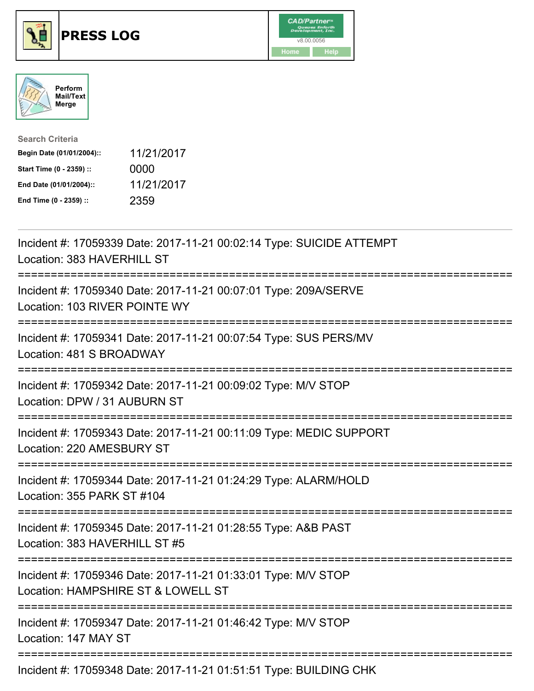





| <b>Search Criteria</b>    |            |
|---------------------------|------------|
| Begin Date (01/01/2004):: | 11/21/2017 |
| Start Time (0 - 2359) ::  | 0000       |
| End Date (01/01/2004)::   | 11/21/2017 |
| End Time (0 - 2359) ::    | 2359       |

| Incident #: 17059339 Date: 2017-11-21 00:02:14 Type: SUICIDE ATTEMPT<br>Location: 383 HAVERHILL ST                                |
|-----------------------------------------------------------------------------------------------------------------------------------|
| Incident #: 17059340 Date: 2017-11-21 00:07:01 Type: 209A/SERVE<br>Location: 103 RIVER POINTE WY                                  |
| Incident #: 17059341 Date: 2017-11-21 00:07:54 Type: SUS PERS/MV<br>Location: 481 S BROADWAY                                      |
| Incident #: 17059342 Date: 2017-11-21 00:09:02 Type: M/V STOP<br>Location: DPW / 31 AUBURN ST                                     |
| Incident #: 17059343 Date: 2017-11-21 00:11:09 Type: MEDIC SUPPORT<br>Location: 220 AMESBURY ST                                   |
| Incident #: 17059344 Date: 2017-11-21 01:24:29 Type: ALARM/HOLD<br>Location: 355 PARK ST #104<br>:=============================== |
| Incident #: 17059345 Date: 2017-11-21 01:28:55 Type: A&B PAST<br>Location: 383 HAVERHILL ST #5                                    |
| Incident #: 17059346 Date: 2017-11-21 01:33:01 Type: M/V STOP<br>Location: HAMPSHIRE ST & LOWELL ST                               |
| Incident #: 17059347 Date: 2017-11-21 01:46:42 Type: M/V STOP<br>Location: 147 MAY ST                                             |
|                                                                                                                                   |

Incident #: 17059348 Date: 2017-11-21 01:51:51 Type: BUILDING CHK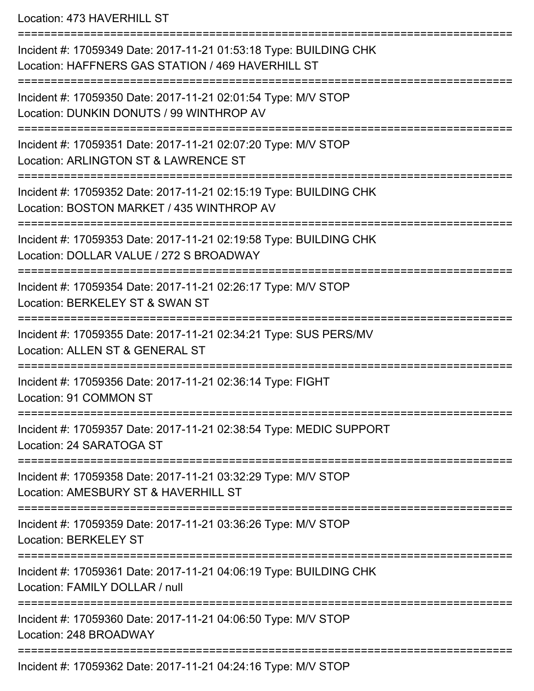Location: 473 HAVERHILL ST

=========================================================================== Incident #: 17059349 Date: 2017-11-21 01:53:18 Type: BUILDING CHK Location: HAFFNERS GAS STATION / 469 HAVERHILL ST =========================================================================== Incident #: 17059350 Date: 2017-11-21 02:01:54 Type: M/V STOP Location: DUNKIN DONUTS / 99 WINTHROP AV =========================================================================== Incident #: 17059351 Date: 2017-11-21 02:07:20 Type: M/V STOP Location: ARLINGTON ST & LAWRENCE ST =========================================================================== Incident #: 17059352 Date: 2017-11-21 02:15:19 Type: BUILDING CHK Location: BOSTON MARKET / 435 WINTHROP AV ============================== Incident #: 17059353 Date: 2017-11-21 02:19:58 Type: BUILDING CHK Location: DOLLAR VALUE / 272 S BROADWAY =========================================================================== Incident #: 17059354 Date: 2017-11-21 02:26:17 Type: M/V STOP Location: BERKELEY ST & SWAN ST =========================================================================== Incident #: 17059355 Date: 2017-11-21 02:34:21 Type: SUS PERS/MV Location: ALLEN ST & GENERAL ST =========================================================================== Incident #: 17059356 Date: 2017-11-21 02:36:14 Type: FIGHT Location: 91 COMMON ST =========================================================================== Incident #: 17059357 Date: 2017-11-21 02:38:54 Type: MEDIC SUPPORT Location: 24 SARATOGA ST =========================================================================== Incident #: 17059358 Date: 2017-11-21 03:32:29 Type: M/V STOP Location: AMESBURY ST & HAVERHILL ST =========================================================================== Incident #: 17059359 Date: 2017-11-21 03:36:26 Type: M/V STOP Location: BERKELEY ST =========================================================================== Incident #: 17059361 Date: 2017-11-21 04:06:19 Type: BUILDING CHK Location: FAMILY DOLLAR / null =========================================================================== Incident #: 17059360 Date: 2017-11-21 04:06:50 Type: M/V STOP Location: 248 BROADWAY =========================================================================== Incident #: 17059362 Date: 2017-11-21 04:24:16 Type: M/V STOP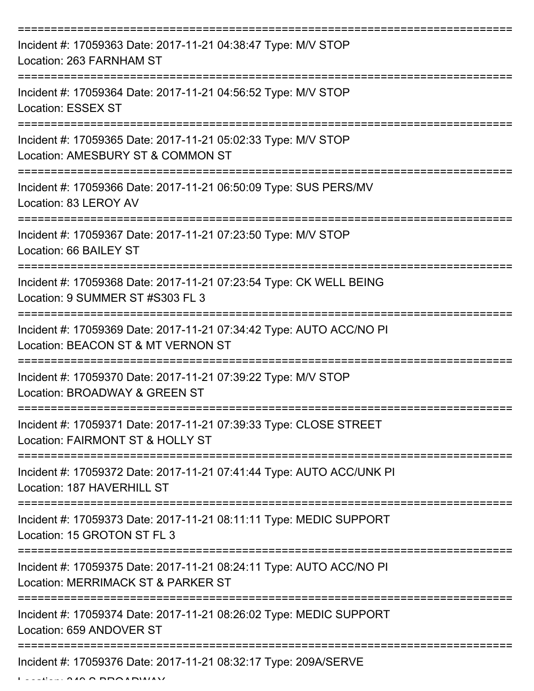| Incident #: 17059363 Date: 2017-11-21 04:38:47 Type: M/V STOP<br>Location: 263 FARNHAM ST                 |
|-----------------------------------------------------------------------------------------------------------|
| Incident #: 17059364 Date: 2017-11-21 04:56:52 Type: M/V STOP<br>Location: ESSEX ST                       |
| Incident #: 17059365 Date: 2017-11-21 05:02:33 Type: M/V STOP<br>Location: AMESBURY ST & COMMON ST        |
| Incident #: 17059366 Date: 2017-11-21 06:50:09 Type: SUS PERS/MV<br>Location: 83 LEROY AV                 |
| Incident #: 17059367 Date: 2017-11-21 07:23:50 Type: M/V STOP<br>Location: 66 BAILEY ST                   |
| Incident #: 17059368 Date: 2017-11-21 07:23:54 Type: CK WELL BEING<br>Location: 9 SUMMER ST #S303 FL 3    |
| Incident #: 17059369 Date: 2017-11-21 07:34:42 Type: AUTO ACC/NO PI<br>Location: BEACON ST & MT VERNON ST |
| Incident #: 17059370 Date: 2017-11-21 07:39:22 Type: M/V STOP<br>Location: BROADWAY & GREEN ST            |
| Incident #: 17059371 Date: 2017-11-21 07:39:33 Type: CLOSE STREET<br>Location: FAIRMONT ST & HOLLY ST     |
| Incident #: 17059372 Date: 2017-11-21 07:41:44 Type: AUTO ACC/UNK PI<br>Location: 187 HAVERHILL ST        |
| Incident #: 17059373 Date: 2017-11-21 08:11:11 Type: MEDIC SUPPORT<br>Location: 15 GROTON ST FL 3         |
| Incident #: 17059375 Date: 2017-11-21 08:24:11 Type: AUTO ACC/NO PI<br>Location: MERRIMACK ST & PARKER ST |
| Incident #: 17059374 Date: 2017-11-21 08:26:02 Type: MEDIC SUPPORT<br>Location: 659 ANDOVER ST            |
| Incident #: 17059376 Date: 2017-11-21 08:32:17 Type: 209A/SERVE                                           |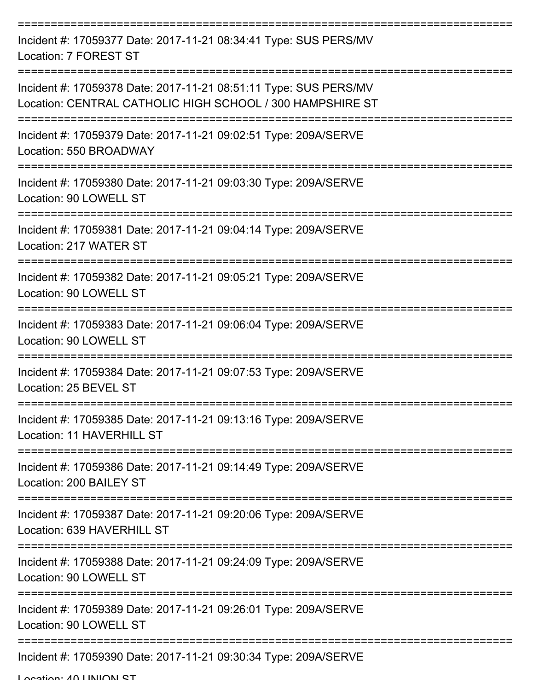| Incident #: 17059377 Date: 2017-11-21 08:34:41 Type: SUS PERS/MV<br>Location: 7 FOREST ST                                     |
|-------------------------------------------------------------------------------------------------------------------------------|
| Incident #: 17059378 Date: 2017-11-21 08:51:11 Type: SUS PERS/MV<br>Location: CENTRAL CATHOLIC HIGH SCHOOL / 300 HAMPSHIRE ST |
| Incident #: 17059379 Date: 2017-11-21 09:02:51 Type: 209A/SERVE<br>Location: 550 BROADWAY                                     |
| Incident #: 17059380 Date: 2017-11-21 09:03:30 Type: 209A/SERVE<br>Location: 90 LOWELL ST                                     |
| Incident #: 17059381 Date: 2017-11-21 09:04:14 Type: 209A/SERVE<br>Location: 217 WATER ST                                     |
| Incident #: 17059382 Date: 2017-11-21 09:05:21 Type: 209A/SERVE<br>Location: 90 LOWELL ST                                     |
| Incident #: 17059383 Date: 2017-11-21 09:06:04 Type: 209A/SERVE<br>Location: 90 LOWELL ST                                     |
| Incident #: 17059384 Date: 2017-11-21 09:07:53 Type: 209A/SERVE<br>Location: 25 BEVEL ST                                      |
| Incident #: 17059385 Date: 2017-11-21 09:13:16 Type: 209A/SERVE<br>Location: 11 HAVERHILL ST                                  |
| Incident #: 17059386 Date: 2017-11-21 09:14:49 Type: 209A/SERVE<br>Location: 200 BAILEY ST                                    |
| Incident #: 17059387 Date: 2017-11-21 09:20:06 Type: 209A/SERVE<br>Location: 639 HAVERHILL ST                                 |
| Incident #: 17059388 Date: 2017-11-21 09:24:09 Type: 209A/SERVE<br>Location: 90 LOWELL ST                                     |
| Incident #: 17059389 Date: 2017-11-21 09:26:01 Type: 209A/SERVE<br>Location: 90 LOWELL ST                                     |
| Incident #: 17059390 Date: 2017-11-21 09:30:34 Type: 209A/SERVE                                                               |

Location: 40 UNION ST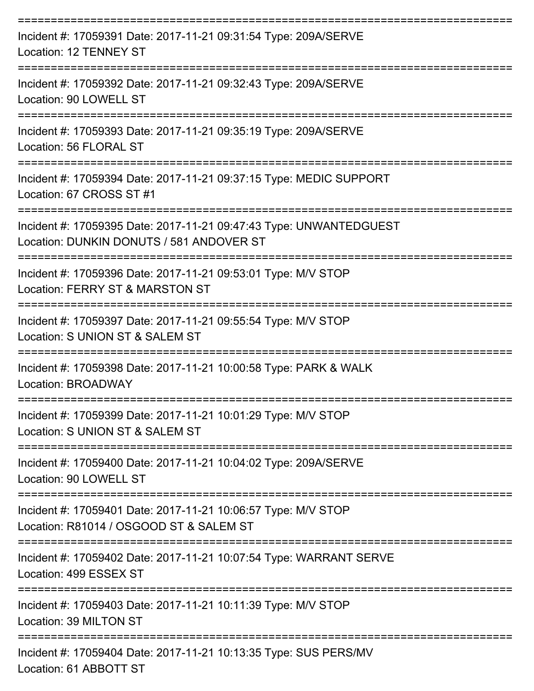| Incident #: 17059391 Date: 2017-11-21 09:31:54 Type: 209A/SERVE<br>Location: 12 TENNEY ST                      |
|----------------------------------------------------------------------------------------------------------------|
| Incident #: 17059392 Date: 2017-11-21 09:32:43 Type: 209A/SERVE<br>Location: 90 LOWELL ST                      |
| Incident #: 17059393 Date: 2017-11-21 09:35:19 Type: 209A/SERVE<br>Location: 56 FLORAL ST                      |
| Incident #: 17059394 Date: 2017-11-21 09:37:15 Type: MEDIC SUPPORT<br>Location: 67 CROSS ST #1                 |
| Incident #: 17059395 Date: 2017-11-21 09:47:43 Type: UNWANTEDGUEST<br>Location: DUNKIN DONUTS / 581 ANDOVER ST |
| Incident #: 17059396 Date: 2017-11-21 09:53:01 Type: M/V STOP<br>Location: FERRY ST & MARSTON ST               |
| Incident #: 17059397 Date: 2017-11-21 09:55:54 Type: M/V STOP<br>Location: S UNION ST & SALEM ST               |
| Incident #: 17059398 Date: 2017-11-21 10:00:58 Type: PARK & WALK<br>Location: BROADWAY                         |
| Incident #: 17059399 Date: 2017-11-21 10:01:29 Type: M/V STOP<br>Location: S UNION ST & SALEM ST               |
| Incident #: 17059400 Date: 2017-11-21 10:04:02 Type: 209A/SERVE<br>Location: 90 LOWELL ST                      |
| Incident #: 17059401 Date: 2017-11-21 10:06:57 Type: M/V STOP<br>Location: R81014 / OSGOOD ST & SALEM ST       |
| Incident #: 17059402 Date: 2017-11-21 10:07:54 Type: WARRANT SERVE<br>Location: 499 ESSEX ST                   |
| Incident #: 17059403 Date: 2017-11-21 10:11:39 Type: M/V STOP<br>Location: 39 MILTON ST                        |
| Incident #: 17059404 Date: 2017-11-21 10:13:35 Type: SUS PERS/MV<br>Location: 61 ABBOTT ST                     |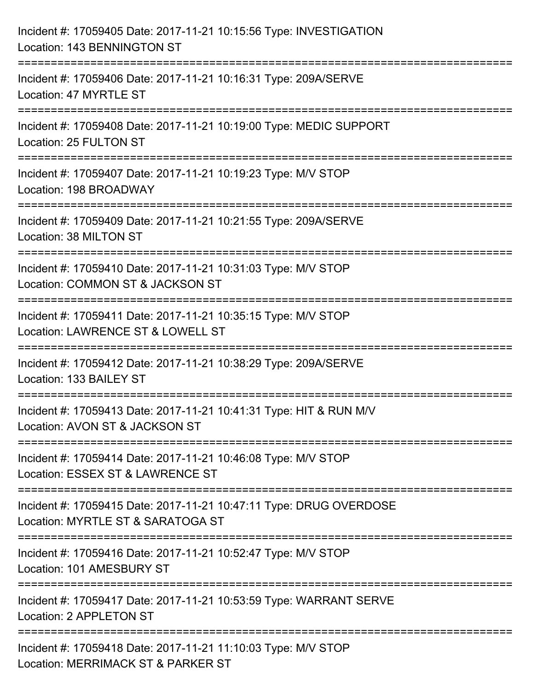| Incident #: 17059405 Date: 2017-11-21 10:15:56 Type: INVESTIGATION<br>Location: 143 BENNINGTON ST                           |
|-----------------------------------------------------------------------------------------------------------------------------|
| Incident #: 17059406 Date: 2017-11-21 10:16:31 Type: 209A/SERVE<br>Location: 47 MYRTLE ST                                   |
| Incident #: 17059408 Date: 2017-11-21 10:19:00 Type: MEDIC SUPPORT<br>Location: 25 FULTON ST<br>:=======================    |
| Incident #: 17059407 Date: 2017-11-21 10:19:23 Type: M/V STOP<br>Location: 198 BROADWAY                                     |
| Incident #: 17059409 Date: 2017-11-21 10:21:55 Type: 209A/SERVE<br>Location: 38 MILTON ST                                   |
| Incident #: 17059410 Date: 2017-11-21 10:31:03 Type: M/V STOP<br>Location: COMMON ST & JACKSON ST                           |
| :====================<br>Incident #: 17059411 Date: 2017-11-21 10:35:15 Type: M/V STOP<br>Location: LAWRENCE ST & LOWELL ST |
| Incident #: 17059412 Date: 2017-11-21 10:38:29 Type: 209A/SERVE<br>Location: 133 BAILEY ST                                  |
| Incident #: 17059413 Date: 2017-11-21 10:41:31 Type: HIT & RUN M/V<br>Location: AVON ST & JACKSON ST                        |
| Incident #: 17059414 Date: 2017-11-21 10:46:08 Type: M/V STOP<br>Location: ESSEX ST & LAWRENCE ST                           |
| Incident #: 17059415 Date: 2017-11-21 10:47:11 Type: DRUG OVERDOSE<br>Location: MYRTLE ST & SARATOGA ST                     |
| Incident #: 17059416 Date: 2017-11-21 10:52:47 Type: M/V STOP<br>Location: 101 AMESBURY ST                                  |
| Incident #: 17059417 Date: 2017-11-21 10:53:59 Type: WARRANT SERVE<br>Location: 2 APPLETON ST                               |
| Incident #: 17059418 Date: 2017-11-21 11:10:03 Type: M/V STOP<br>Location: MERRIMACK ST & PARKER ST                         |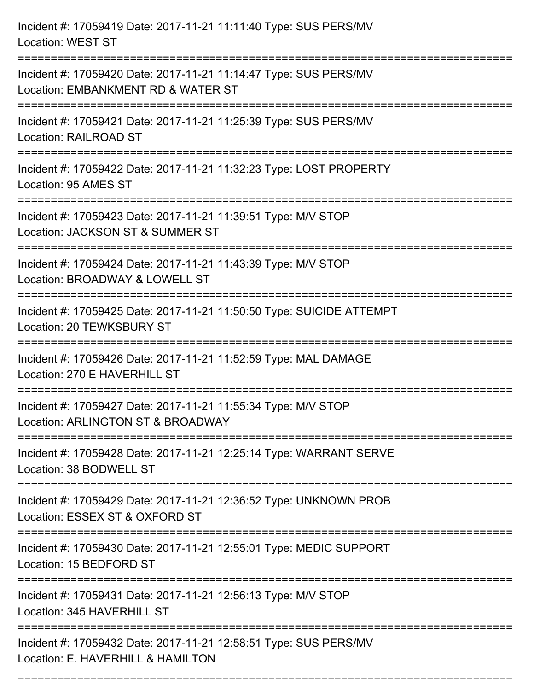| Incident #: 17059419 Date: 2017-11-21 11:11:40 Type: SUS PERS/MV<br><b>Location: WEST ST</b>                                    |
|---------------------------------------------------------------------------------------------------------------------------------|
| Incident #: 17059420 Date: 2017-11-21 11:14:47 Type: SUS PERS/MV<br>Location: EMBANKMENT RD & WATER ST                          |
| Incident #: 17059421 Date: 2017-11-21 11:25:39 Type: SUS PERS/MV<br><b>Location: RAILROAD ST</b>                                |
| Incident #: 17059422 Date: 2017-11-21 11:32:23 Type: LOST PROPERTY<br>Location: 95 AMES ST                                      |
| Incident #: 17059423 Date: 2017-11-21 11:39:51 Type: M/V STOP<br>Location: JACKSON ST & SUMMER ST<br>-------------------------- |
| Incident #: 17059424 Date: 2017-11-21 11:43:39 Type: M/V STOP<br>Location: BROADWAY & LOWELL ST<br>;================            |
| Incident #: 17059425 Date: 2017-11-21 11:50:50 Type: SUICIDE ATTEMPT<br>Location: 20 TEWKSBURY ST                               |
| Incident #: 17059426 Date: 2017-11-21 11:52:59 Type: MAL DAMAGE<br>Location: 270 E HAVERHILL ST                                 |
| Incident #: 17059427 Date: 2017-11-21 11:55:34 Type: M/V STOP<br>Location: ARLINGTON ST & BROADWAY                              |
| Incident #: 17059428 Date: 2017-11-21 12:25:14 Type: WARRANT SERVE<br>Location: 38 BODWELL ST                                   |
| Incident #: 17059429 Date: 2017-11-21 12:36:52 Type: UNKNOWN PROB<br>Location: ESSEX ST & OXFORD ST                             |
| Incident #: 17059430 Date: 2017-11-21 12:55:01 Type: MEDIC SUPPORT<br>Location: 15 BEDFORD ST                                   |
| Incident #: 17059431 Date: 2017-11-21 12:56:13 Type: M/V STOP<br>Location: 345 HAVERHILL ST                                     |
| Incident #: 17059432 Date: 2017-11-21 12:58:51 Type: SUS PERS/MV<br>Location: E. HAVERHILL & HAMILTON                           |

===========================================================================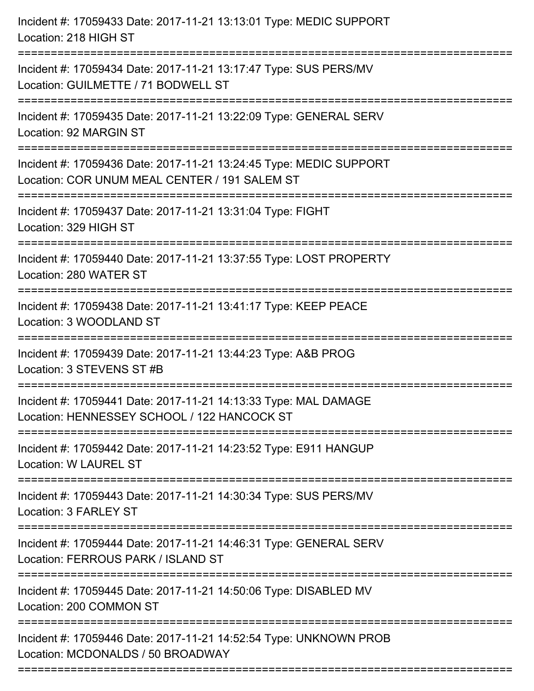| Incident #: 17059433 Date: 2017-11-21 13:13:01 Type: MEDIC SUPPORT<br>Location: 218 HIGH ST                            |
|------------------------------------------------------------------------------------------------------------------------|
| Incident #: 17059434 Date: 2017-11-21 13:17:47 Type: SUS PERS/MV<br>Location: GUILMETTE / 71 BODWELL ST                |
| Incident #: 17059435 Date: 2017-11-21 13:22:09 Type: GENERAL SERV<br>Location: 92 MARGIN ST                            |
| Incident #: 17059436 Date: 2017-11-21 13:24:45 Type: MEDIC SUPPORT<br>Location: COR UNUM MEAL CENTER / 191 SALEM ST    |
| Incident #: 17059437 Date: 2017-11-21 13:31:04 Type: FIGHT<br>Location: 329 HIGH ST                                    |
| Incident #: 17059440 Date: 2017-11-21 13:37:55 Type: LOST PROPERTY<br>Location: 280 WATER ST                           |
| Incident #: 17059438 Date: 2017-11-21 13:41:17 Type: KEEP PEACE<br>Location: 3 WOODLAND ST                             |
| Incident #: 17059439 Date: 2017-11-21 13:44:23 Type: A&B PROG<br>Location: 3 STEVENS ST #B                             |
| Incident #: 17059441 Date: 2017-11-21 14:13:33 Type: MAL DAMAGE<br>Location: HENNESSEY SCHOOL / 122 HANCOCK ST         |
| Incident #: 17059442 Date: 2017-11-21 14:23:52 Type: E911 HANGUP<br><b>Location: W LAUREL ST</b>                       |
| Incident #: 17059443 Date: 2017-11-21 14:30:34 Type: SUS PERS/MV<br>Location: 3 FARLEY ST                              |
| Incident #: 17059444 Date: 2017-11-21 14:46:31 Type: GENERAL SERV<br>Location: FERROUS PARK / ISLAND ST                |
| :======================<br>Incident #: 17059445 Date: 2017-11-21 14:50:06 Type: DISABLED MV<br>Location: 200 COMMON ST |
| Incident #: 17059446 Date: 2017-11-21 14:52:54 Type: UNKNOWN PROB<br>Location: MCDONALDS / 50 BROADWAY                 |
|                                                                                                                        |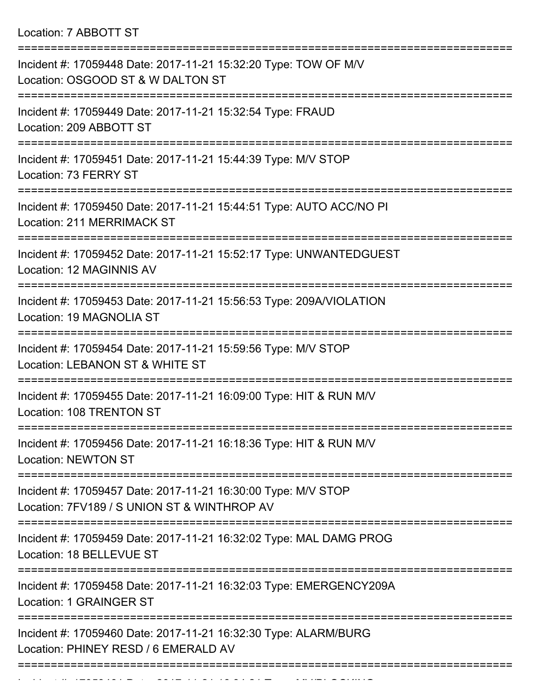Location: 7 ABBOTT ST

| Incident #: 17059448 Date: 2017-11-21 15:32:20 Type: TOW OF M/V<br>Location: OSGOOD ST & W DALTON ST                 |
|----------------------------------------------------------------------------------------------------------------------|
| Incident #: 17059449 Date: 2017-11-21 15:32:54 Type: FRAUD<br>Location: 209 ABBOTT ST                                |
| Incident #: 17059451 Date: 2017-11-21 15:44:39 Type: M/V STOP<br>Location: 73 FERRY ST                               |
| Incident #: 17059450 Date: 2017-11-21 15:44:51 Type: AUTO ACC/NO PI<br>Location: 211 MERRIMACK ST                    |
| Incident #: 17059452 Date: 2017-11-21 15:52:17 Type: UNWANTEDGUEST<br>Location: 12 MAGINNIS AV                       |
| Incident #: 17059453 Date: 2017-11-21 15:56:53 Type: 209A/VIOLATION<br>Location: 19 MAGNOLIA ST                      |
| Incident #: 17059454 Date: 2017-11-21 15:59:56 Type: M/V STOP<br>Location: LEBANON ST & WHITE ST                     |
| Incident #: 17059455 Date: 2017-11-21 16:09:00 Type: HIT & RUN M/V<br>Location: 108 TRENTON ST                       |
| ================<br>Incident #: 17059456 Date: 2017-11-21 16:18:36 Type: HIT & RUN M/V<br><b>Location: NEWTON ST</b> |
| Incident #: 17059457 Date: 2017-11-21 16:30:00 Type: M/V STOP<br>Location: 7FV189 / S UNION ST & WINTHROP AV         |
| Incident #: 17059459 Date: 2017-11-21 16:32:02 Type: MAL DAMG PROG<br>Location: 18 BELLEVUE ST                       |
| Incident #: 17059458 Date: 2017-11-21 16:32:03 Type: EMERGENCY209A<br>Location: 1 GRAINGER ST                        |
| Incident #: 17059460 Date: 2017-11-21 16:32:30 Type: ALARM/BURG<br>Location: PHINEY RESD / 6 EMERALD AV              |
|                                                                                                                      |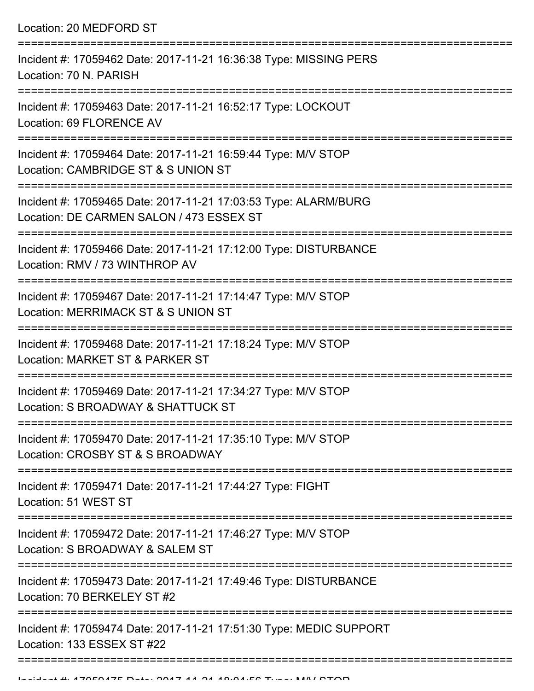Location: 20 MEDFORD ST =========================================================================== Incident #: 17059462 Date: 2017-11-21 16:36:38 Type: MISSING PERS Location: 70 N. PARISH =========================================================================== Incident #: 17059463 Date: 2017-11-21 16:52:17 Type: LOCKOUT Location: 69 FLORENCE AV =========================================================================== Incident #: 17059464 Date: 2017-11-21 16:59:44 Type: M/V STOP Location: CAMBRIDGE ST & S UNION ST =========================================================================== Incident #: 17059465 Date: 2017-11-21 17:03:53 Type: ALARM/BURG Location: DE CARMEN SALON / 473 ESSEX ST =========================================================================== Incident #: 17059466 Date: 2017-11-21 17:12:00 Type: DISTURBANCE Location: RMV / 73 WINTHROP AV =========================================================================== Incident #: 17059467 Date: 2017-11-21 17:14:47 Type: M/V STOP Location: MERRIMACK ST & S UNION ST =========================================================================== Incident #: 17059468 Date: 2017-11-21 17:18:24 Type: M/V STOP Location: MARKET ST & PARKER ST =========================================================================== Incident #: 17059469 Date: 2017-11-21 17:34:27 Type: M/V STOP Location: S BROADWAY & SHATTUCK ST =========================================================================== Incident #: 17059470 Date: 2017-11-21 17:35:10 Type: M/V STOP Location: CROSBY ST & S BROADWAY =========================================================================== Incident #: 17059471 Date: 2017-11-21 17:44:27 Type: FIGHT Location: 51 WEST ST =========================================================================== Incident #: 17059472 Date: 2017-11-21 17:46:27 Type: M/V STOP Location: S BROADWAY & SALEM ST =========================================================================== Incident #: 17059473 Date: 2017-11-21 17:49:46 Type: DISTURBANCE Location: 70 BERKELEY ST #2 =========================================================================== Incident #: 17059474 Date: 2017-11-21 17:51:30 Type: MEDIC SUPPORT Location: 133 ESSEX ST #22

===========================================================================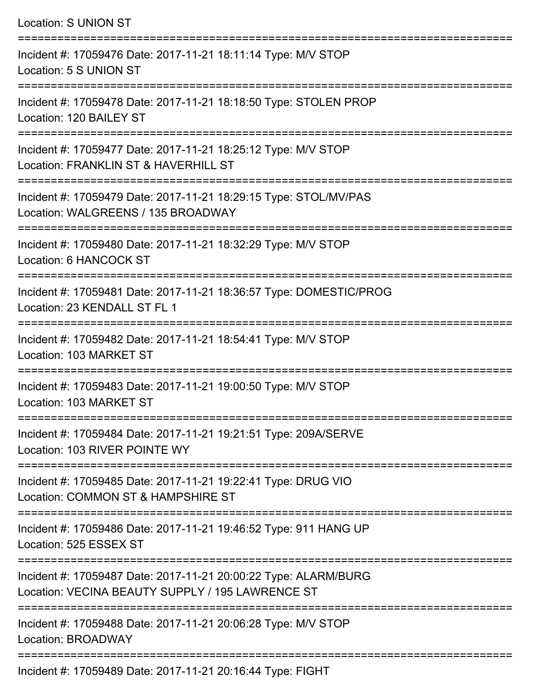| <b>Location: S UNION ST</b>                                                                                                                   |
|-----------------------------------------------------------------------------------------------------------------------------------------------|
| Incident #: 17059476 Date: 2017-11-21 18:11:14 Type: M/V STOP<br>Location: 5 S UNION ST                                                       |
| Incident #: 17059478 Date: 2017-11-21 18:18:50 Type: STOLEN PROP<br>Location: 120 BAILEY ST                                                   |
| Incident #: 17059477 Date: 2017-11-21 18:25:12 Type: M/V STOP<br>Location: FRANKLIN ST & HAVERHILL ST<br>:===========================         |
| Incident #: 17059479 Date: 2017-11-21 18:29:15 Type: STOL/MV/PAS<br>Location: WALGREENS / 135 BROADWAY                                        |
| Incident #: 17059480 Date: 2017-11-21 18:32:29 Type: M/V STOP<br>Location: 6 HANCOCK ST                                                       |
| =========================<br>Incident #: 17059481 Date: 2017-11-21 18:36:57 Type: DOMESTIC/PROG<br>Location: 23 KENDALL ST FL 1               |
| Incident #: 17059482 Date: 2017-11-21 18:54:41 Type: M/V STOP<br>Location: 103 MARKET ST                                                      |
| Incident #: 17059483 Date: 2017-11-21 19:00:50 Type: M/V STOP<br>Location: 103 MARKET ST                                                      |
| Incident #: 17059484 Date: 2017-11-21 19:21:51 Type: 209A/SERVE<br>Location: 103 RIVER POINTE WY                                              |
| Incident #: 17059485 Date: 2017-11-21 19:22:41 Type: DRUG VIO<br>Location: COMMON ST & HAMPSHIRE ST                                           |
| Incident #: 17059486 Date: 2017-11-21 19:46:52 Type: 911 HANG UP<br>Location: 525 ESSEX ST                                                    |
| ======================<br>Incident #: 17059487 Date: 2017-11-21 20:00:22 Type: ALARM/BURG<br>Location: VECINA BEAUTY SUPPLY / 195 LAWRENCE ST |
| Incident #: 17059488 Date: 2017-11-21 20:06:28 Type: M/V STOP<br>Location: BROADWAY                                                           |
|                                                                                                                                               |

Incident #: 17059489 Date: 2017-11-21 20:16:44 Type: FIGHT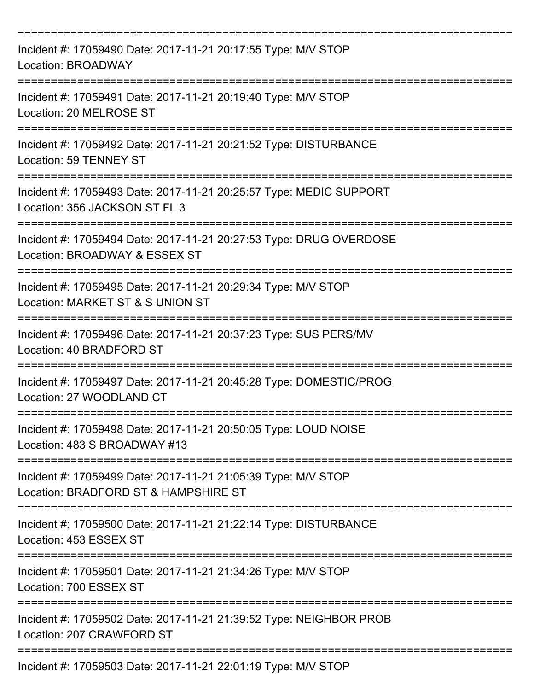| Incident #: 17059490 Date: 2017-11-21 20:17:55 Type: M/V STOP<br>Location: BROADWAY                           |
|---------------------------------------------------------------------------------------------------------------|
| Incident #: 17059491 Date: 2017-11-21 20:19:40 Type: M/V STOP<br>Location: 20 MELROSE ST                      |
| Incident #: 17059492 Date: 2017-11-21 20:21:52 Type: DISTURBANCE<br>Location: 59 TENNEY ST                    |
| Incident #: 17059493 Date: 2017-11-21 20:25:57 Type: MEDIC SUPPORT<br>Location: 356 JACKSON ST FL 3           |
| Incident #: 17059494 Date: 2017-11-21 20:27:53 Type: DRUG OVERDOSE<br>Location: BROADWAY & ESSEX ST           |
| Incident #: 17059495 Date: 2017-11-21 20:29:34 Type: M/V STOP<br>Location: MARKET ST & S UNION ST             |
| Incident #: 17059496 Date: 2017-11-21 20:37:23 Type: SUS PERS/MV<br>Location: 40 BRADFORD ST                  |
| ===========<br>Incident #: 17059497 Date: 2017-11-21 20:45:28 Type: DOMESTIC/PROG<br>Location: 27 WOODLAND CT |
| Incident #: 17059498 Date: 2017-11-21 20:50:05 Type: LOUD NOISE<br>Location: 483 S BROADWAY #13               |
| Incident #: 17059499 Date: 2017-11-21 21:05:39 Type: M/V STOP<br>Location: BRADFORD ST & HAMPSHIRE ST         |
| Incident #: 17059500 Date: 2017-11-21 21:22:14 Type: DISTURBANCE<br>Location: 453 ESSEX ST                    |
| Incident #: 17059501 Date: 2017-11-21 21:34:26 Type: M/V STOP<br>Location: 700 ESSEX ST                       |
| Incident #: 17059502 Date: 2017-11-21 21:39:52 Type: NEIGHBOR PROB<br>Location: 207 CRAWFORD ST               |
| ======================================<br>Incident #: 17059503 Date: 2017-11-21 22:01:19 Type: M/V STOP       |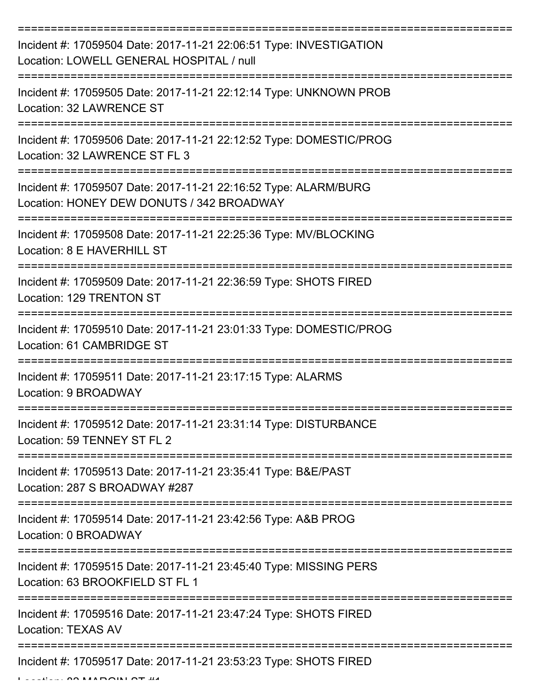| Incident #: 17059504 Date: 2017-11-21 22:06:51 Type: INVESTIGATION<br>Location: LOWELL GENERAL HOSPITAL / null |
|----------------------------------------------------------------------------------------------------------------|
| Incident #: 17059505 Date: 2017-11-21 22:12:14 Type: UNKNOWN PROB<br>Location: 32 LAWRENCE ST                  |
| Incident #: 17059506 Date: 2017-11-21 22:12:52 Type: DOMESTIC/PROG<br>Location: 32 LAWRENCE ST FL 3            |
| Incident #: 17059507 Date: 2017-11-21 22:16:52 Type: ALARM/BURG<br>Location: HONEY DEW DONUTS / 342 BROADWAY   |
| Incident #: 17059508 Date: 2017-11-21 22:25:36 Type: MV/BLOCKING<br>Location: 8 E HAVERHILL ST                 |
| Incident #: 17059509 Date: 2017-11-21 22:36:59 Type: SHOTS FIRED<br>Location: 129 TRENTON ST                   |
| Incident #: 17059510 Date: 2017-11-21 23:01:33 Type: DOMESTIC/PROG<br>Location: 61 CAMBRIDGE ST                |
| Incident #: 17059511 Date: 2017-11-21 23:17:15 Type: ALARMS<br>Location: 9 BROADWAY                            |
| Incident #: 17059512 Date: 2017-11-21 23:31:14 Type: DISTURBANCE<br>Location: 59 TENNEY ST FL 2                |
| Incident #: 17059513 Date: 2017-11-21 23:35:41 Type: B&E/PAST<br>Location: 287 S BROADWAY #287                 |
| Incident #: 17059514 Date: 2017-11-21 23:42:56 Type: A&B PROG<br>Location: 0 BROADWAY                          |
| Incident #: 17059515 Date: 2017-11-21 23:45:40 Type: MISSING PERS<br>Location: 63 BROOKFIELD ST FL 1           |
| Incident #: 17059516 Date: 2017-11-21 23:47:24 Type: SHOTS FIRED<br><b>Location: TEXAS AV</b>                  |
| Incident #: 17059517 Date: 2017-11-21 23:53:23 Type: SHOTS FIRED                                               |

 $L$ .... 80 MARGOIN OT #4